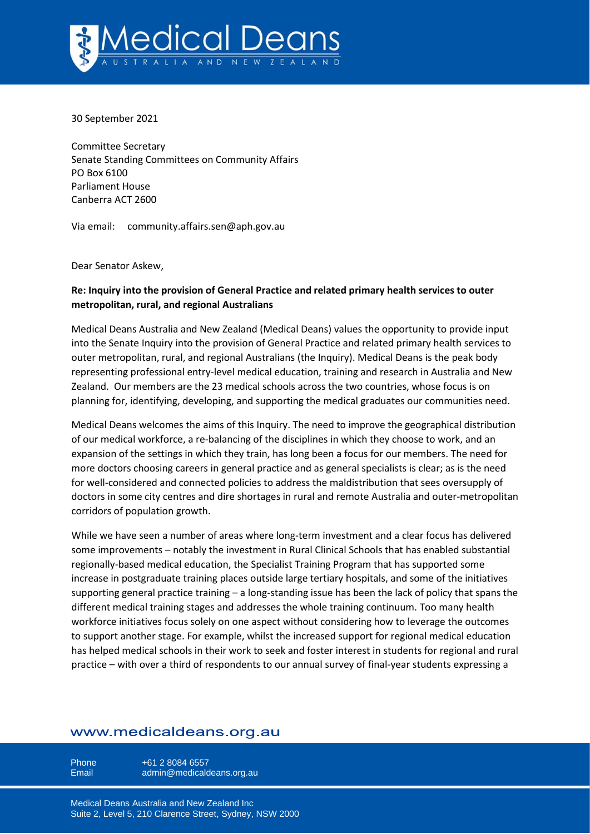

30 September 2021

Committee Secretary Senate Standing Committees on Community Affairs PO Box 6100 Parliament House Canberra ACT 2600

Via email: [community.affairs.sen@aph.gov.au](mailto:community.affairs.sen@aph.gov.au)

Dear Senator Askew,

# **Re: Inquiry into the provision of General Practice and related primary health services to outer metropolitan, rural, and regional Australians**

Medical Deans Australia and New Zealand (Medical Deans) values the opportunity to provide input into the Senate Inquiry into the provision of General Practice and related primary health services to outer metropolitan, rural, and regional Australians (the Inquiry). Medical Deans is the peak body representing professional entry-level medical education, training and research in Australia and New Zealand. Our members are the 23 medical schools across the two countries, whose focus is on planning for, identifying, developing, and supporting the medical graduates our communities need.

Medical Deans welcomes the aims of this Inquiry. The need to improve the geographical distribution of our medical workforce, a re-balancing of the disciplines in which they choose to work, and an expansion of the settings in which they train, has long been a focus for our members. The need for more doctors choosing careers in general practice and as general specialists is clear; as is the need for well-considered and connected policies to address the maldistribution that sees oversupply of doctors in some city centres and dire shortages in rural and remote Australia and outer-metropolitan corridors of population growth.

While we have seen a number of areas where long-term investment and a clear focus has delivered some improvements – notably the investment in Rural Clinical Schools that has enabled substantial regionally-based medical education, the Specialist Training Program that has supported some increase in postgraduate training places outside large tertiary hospitals, and some of the initiatives supporting general practice training – a long-standing issue has been the lack of policy that spans the different medical training stages and addresses the whole training continuum. Too many health workforce initiatives focus solely on one aspect without considering how to leverage the outcomes to support another stage. For example, whilst the increased support for regional medical education has helped medical schools in their work to seek and foster interest in students for regional and rural practice – with over a third of respondents to our annual survey of final-year students expressing a

# www.medicaldeans.org.au

Phone +61 2 8084 6557 Email admin@medicaldeans.org.au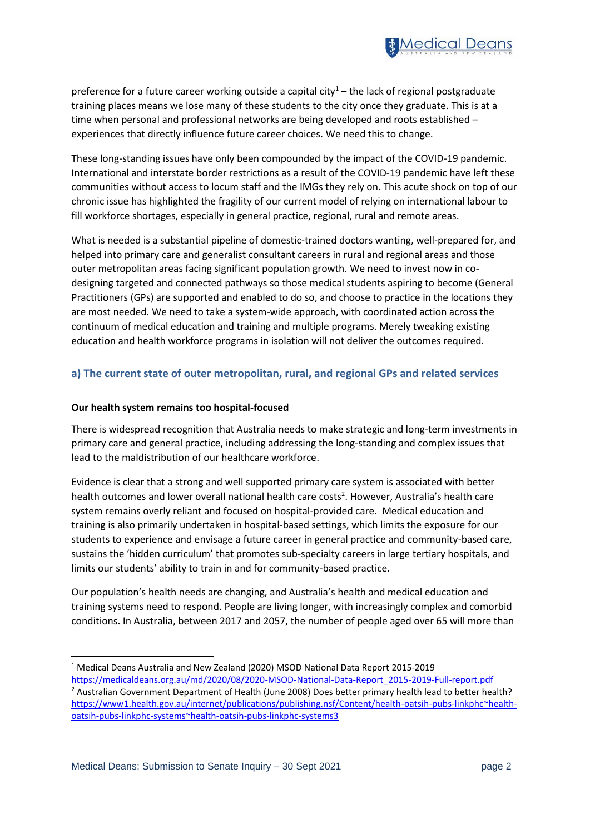

preference for a future career working outside a capital city<sup>1</sup> – the lack of regional postgraduate training places means we lose many of these students to the city once they graduate. This is at a time when personal and professional networks are being developed and roots established – experiences that directly influence future career choices. We need this to change.

These long-standing issues have only been compounded by the impact of the COVID-19 pandemic. International and interstate border restrictions as a result of the COVID-19 pandemic have left these communities without access to locum staff and the IMGs they rely on. This acute shock on top of our chronic issue has highlighted the fragility of our current model of relying on international labour to fill workforce shortages, especially in general practice, regional, rural and remote areas.

What is needed is a substantial pipeline of domestic-trained doctors wanting, well-prepared for, and helped into primary care and generalist consultant careers in rural and regional areas and those outer metropolitan areas facing significant population growth. We need to invest now in codesigning targeted and connected pathways so those medical students aspiring to become (General Practitioners (GPs) are supported and enabled to do so, and choose to practice in the locations they are most needed. We need to take a system-wide approach, with coordinated action across the continuum of medical education and training and multiple programs. Merely tweaking existing education and health workforce programs in isolation will not deliver the outcomes required.

## **a) The current state of outer metropolitan, rural, and regional GPs and related services**

#### **Our health system remains too hospital-focused**

There is widespread recognition that Australia needs to make strategic and long-term investments in primary care and general practice, including addressing the long-standing and complex issues that lead to the maldistribution of our healthcare workforce.

Evidence is clear that a strong and well supported primary care system is associated with better health outcomes and lower overall national health care costs<sup>2</sup>. However, Australia's health care system remains overly reliant and focused on hospital-provided care. Medical education and training is also primarily undertaken in hospital-based settings, which limits the exposure for our students to experience and envisage a future career in general practice and community-based care, sustains the 'hidden curriculum' that promotes sub-specialty careers in large tertiary hospitals, and limits our students' ability to train in and for community-based practice.

Our population's health needs are changing, and Australia's health and medical education and training systems need to respond. People are living longer, with increasingly complex and comorbid conditions. In Australia, between 2017 and 2057, the number of people aged over 65 will more than

<sup>1</sup> Medical Deans Australia and New Zealand (2020) MSOD National Data Report 2015-2019 [https://medicaldeans.org.au/md/2020/08/2020-MSOD-National-Data-Report\\_2015-2019-Full-report.pdf](https://medicaldeans.org.au/md/2020/08/2020-MSOD-National-Data-Report_2015-2019-Full-report.pdf) <sup>2</sup> Australian Government Department of Health (June 2008) Does better primary health lead to better health? [https://www1.health.gov.au/internet/publications/publishing.nsf/Content/health-oatsih-pubs-linkphc~health](https://www1.health.gov.au/internet/publications/publishing.nsf/Content/health-oatsih-pubs-linkphc~health-oatsih-pubs-linkphc-systems~health-oatsih-pubs-linkphc-systems3)[oatsih-pubs-linkphc-systems~health-oatsih-pubs-linkphc-systems3](https://www1.health.gov.au/internet/publications/publishing.nsf/Content/health-oatsih-pubs-linkphc~health-oatsih-pubs-linkphc-systems~health-oatsih-pubs-linkphc-systems3)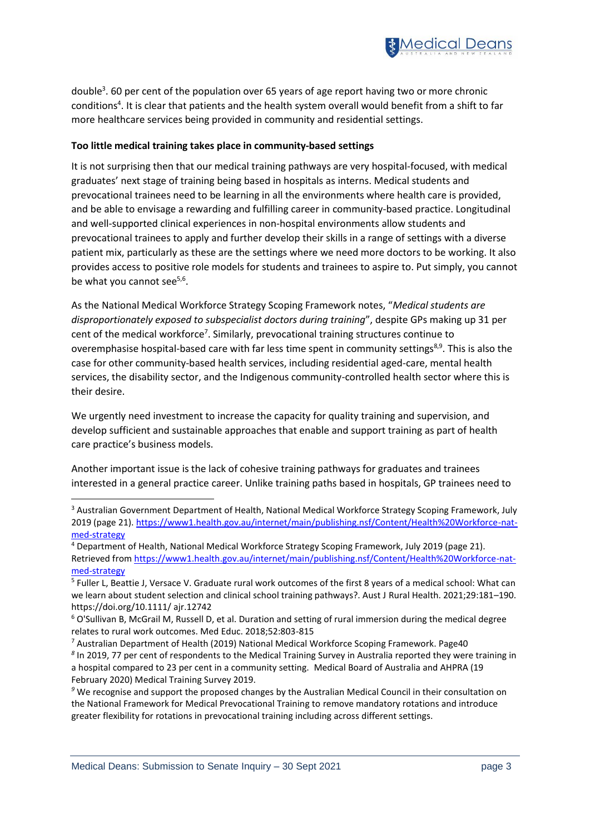

double<sup>3</sup>. 60 per cent of the population over 65 years of age report having two or more chronic conditions<sup>4</sup>. It is clear that patients and the health system overall would benefit from a shift to far more healthcare services being provided in community and residential settings.

### **Too little medical training takes place in community-based settings**

It is not surprising then that our medical training pathways are very hospital-focused, with medical graduates' next stage of training being based in hospitals as interns. Medical students and prevocational trainees need to be learning in all the environments where health care is provided, and be able to envisage a rewarding and fulfilling career in community-based practice. Longitudinal and well-supported clinical experiences in non-hospital environments allow students and prevocational trainees to apply and further develop their skills in a range of settings with a diverse patient mix, particularly as these are the settings where we need more doctors to be working. It also provides access to positive role models for students and trainees to aspire to. Put simply, you cannot be what you cannot see<sup>5,6</sup>.

As the National Medical Workforce Strategy Scoping Framework notes, "*Medical students are disproportionately exposed to subspecialist doctors during training*", despite GPs making up 31 per cent of the medical workforce<sup>7</sup>. Similarly, prevocational training structures continue to overemphasise hospital-based care with far less time spent in community settings<sup>8,9</sup>. This is also the case for other community-based health services, including residential aged-care, mental health services, the disability sector, and the Indigenous community-controlled health sector where this is their desire.

We urgently need investment to increase the capacity for quality training and supervision, and develop sufficient and sustainable approaches that enable and support training as part of health care practice's business models.

Another important issue is the lack of cohesive training pathways for graduates and trainees interested in a general practice career. Unlike training paths based in hospitals, GP trainees need to

<sup>3</sup> Australian Government Department of Health, National Medical Workforce Strategy Scoping Framework, July 2019 (page 21)[. https://www1.health.gov.au/internet/main/publishing.nsf/Content/Health%20Workforce-nat](https://www1.health.gov.au/internet/main/publishing.nsf/Content/Health%20Workforce-nat-med-strategy)[med-strategy](https://www1.health.gov.au/internet/main/publishing.nsf/Content/Health%20Workforce-nat-med-strategy)

<sup>4</sup> Department of Health, National Medical Workforce Strategy Scoping Framework, July 2019 (page 21). Retrieved fro[m https://www1.health.gov.au/internet/main/publishing.nsf/Content/Health%20Workforce-nat](https://www1.health.gov.au/internet/main/publishing.nsf/Content/Health%20Workforce-nat-med-strategy)[med-strategy](https://www1.health.gov.au/internet/main/publishing.nsf/Content/Health%20Workforce-nat-med-strategy)

<sup>5</sup> Fuller L, Beattie J, Versace V. Graduate rural work outcomes of the first 8 years of a medical school: What can we learn about student selection and clinical school training pathways?. Aust J Rural Health. 2021;29:181–190. https://doi.org/10.1111/ ajr.12742

<sup>6</sup> O'Sullivan B, McGrail M, Russell D, et al. Duration and setting of rural immersion during the medical degree relates to rural work outcomes. Med Educ. 2018;52:803-815

<sup>7</sup> Australian Department of Health (2019) National Medical Workforce Scoping Framework. Page40

*<sup>8</sup>* In 2019, 77 per cent of respondents to the Medical Training Survey in Australia reported they were training in a hospital compared to 23 per cent in a community setting. Medical Board of Australia and AHPRA (19 February 2020) Medical Training Survey 2019.

*<sup>9</sup>* We recognise and support the proposed changes by the Australian Medical Council in their consultation on the National Framework for Medical Prevocational Training to remove mandatory rotations and introduce greater flexibility for rotations in prevocational training including across different settings.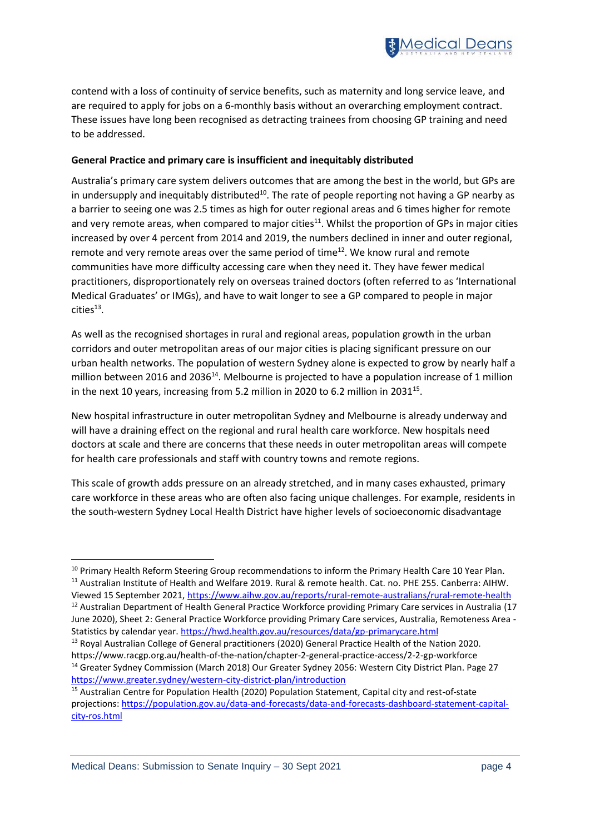

contend with a loss of continuity of service benefits, such as maternity and long service leave, and are required to apply for jobs on a 6-monthly basis without an overarching employment contract. These issues have long been recognised as detracting trainees from choosing GP training and need to be addressed.

### **General Practice and primary care is insufficient and inequitably distributed**

Australia's primary care system delivers outcomes that are among the best in the world, but GPs are in undersupply and inequitably distributed<sup>10</sup>. The rate of people reporting not having a GP nearby as a barrier to seeing one was 2.5 times as high for outer regional areas and 6 times higher for remote and very remote areas, when compared to major cities<sup>11</sup>. Whilst the proportion of GPs in major cities increased by over 4 percent from 2014 and 2019, the numbers declined in inner and outer regional, remote and very remote areas over the same period of time $^{12}$ . We know rural and remote communities have more difficulty accessing care when they need it. They have fewer medical practitioners, disproportionately rely on overseas trained doctors (often referred to as 'International Medical Graduates' or IMGs), and have to wait longer to see a GP compared to people in major  $\text{cities}^{13}.$ 

As well as the recognised shortages in rural and regional areas, population growth in the urban corridors and outer metropolitan areas of our major cities is placing significant pressure on our urban health networks. The population of western Sydney alone is expected to grow by nearly half a million between 2016 and 2036<sup>14</sup>. Melbourne is projected to have a population increase of 1 million in the next 10 years, increasing from 5.2 million in 2020 to 6.2 million in 2031<sup>15</sup>.

New hospital infrastructure in outer metropolitan Sydney and Melbourne is already underway and will have a draining effect on the regional and rural health care workforce. New hospitals need doctors at scale and there are concerns that these needs in outer metropolitan areas will compete for health care professionals and staff with country towns and remote regions.

This scale of growth adds pressure on an already stretched, and in many cases exhausted, primary care workforce in these areas who are often also facing unique challenges. For example, residents in the south-western Sydney Local Health District have higher levels of socioeconomic disadvantage

Viewed 15 September 2021,<https://www.aihw.gov.au/reports/rural-remote-australians/rural-remote-health> <sup>12</sup> Australian Department of Health General Practice Workforce providing Primary Care services in Australia (17 June 2020), Sheet 2: General Practice Workforce providing Primary Care services, Australia, Remoteness Area -

<sup>&</sup>lt;sup>10</sup> Primary Health Reform Steering Group recommendations to inform the Primary Health Care 10 Year Plan. <sup>11</sup> Australian Institute of Health and Welfare 2019. Rural & remote health. Cat. no. PHE 255. Canberra: AIHW.

Statistics by calendar year[. https://hwd.health.gov.au/resources/data/gp-primarycare.html](https://hwd.health.gov.au/resources/data/gp-primarycare.html)

<sup>&</sup>lt;sup>13</sup> Royal Australian College of General practitioners (2020) General Practice Health of the Nation 2020. https://www.racgp.org.au/health-of-the-nation/chapter-2-general-practice-access/2-2-gp-workforce <sup>14</sup> Greater Sydney Commission (March 2018) Our Greater Sydney 2056: Western City District Plan. Page 27 <https://www.greater.sydney/western-city-district-plan/introduction>

<sup>&</sup>lt;sup>15</sup> Australian Centre for Population Health (2020) Population Statement, Capital city and rest-of-state projections[: https://population.gov.au/data-and-forecasts/data-and-forecasts-dashboard-statement-capital](https://population.gov.au/data-and-forecasts/data-and-forecasts-dashboard-statement-capital-city-ros.html)[city-ros.html](https://population.gov.au/data-and-forecasts/data-and-forecasts-dashboard-statement-capital-city-ros.html)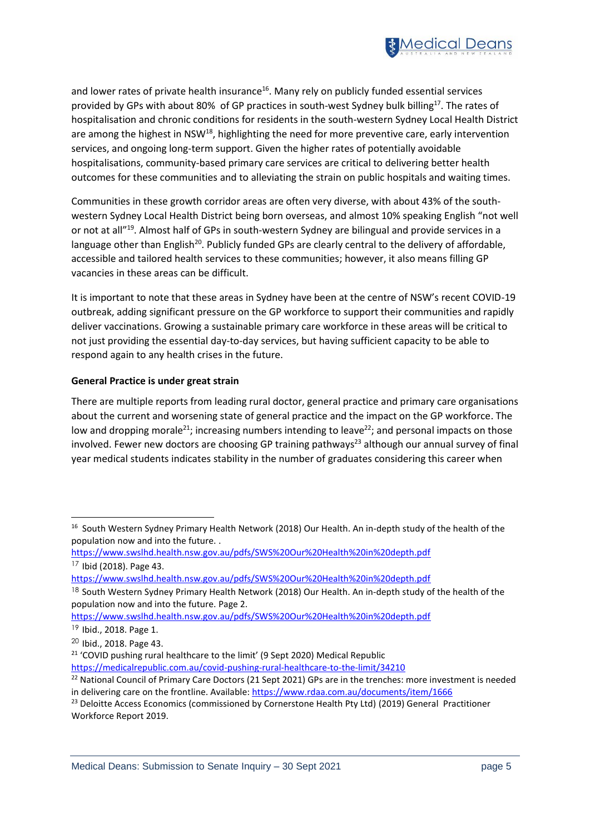

and lower rates of private health insurance $16$ . Many rely on publicly funded essential services provided by GPs with about 80% of GP practices in south-west Sydney bulk billing<sup>17</sup>. The rates of hospitalisation and chronic conditions for residents in the south-western Sydney Local Health District are among the highest in NSW<sup>18</sup>, highlighting the need for more preventive care, early intervention services, and ongoing long-term support. Given the higher rates of potentially avoidable hospitalisations, community-based primary care services are critical to delivering better health outcomes for these communities and to alleviating the strain on public hospitals and waiting times.

Communities in these growth corridor areas are often very diverse, with about 43% of the southwestern Sydney Local Health District being born overseas, and almost 10% speaking English "not well or not at all"<sup>19</sup>. Almost half of GPs in south-western Sydney are bilingual and provide services in a language other than English<sup>20</sup>. Publicly funded GPs are clearly central to the delivery of affordable, accessible and tailored health services to these communities; however, it also means filling GP vacancies in these areas can be difficult.

It is important to note that these areas in Sydney have been at the centre of NSW's recent COVID-19 outbreak, adding significant pressure on the GP workforce to support their communities and rapidly deliver vaccinations. Growing a sustainable primary care workforce in these areas will be critical to not just providing the essential day-to-day services, but having sufficient capacity to be able to respond again to any health crises in the future.

### **General Practice is under great strain**

There are multiple reports from leading rural doctor, general practice and primary care organisations about the current and worsening state of general practice and the impact on the GP workforce. The low and dropping morale<sup>21</sup>; increasing numbers intending to leave<sup>22</sup>; and personal impacts on those involved. Fewer new doctors are choosing GP training pathways<sup>23</sup> although our annual survey of final year medical students indicates stability in the number of graduates considering this career when

<sup>&</sup>lt;sup>16</sup> South Western Sydney Primary Health Network (2018) Our Health. An in-depth study of the health of the population now and into the future. .

<https://www.swslhd.health.nsw.gov.au/pdfs/SWS%20Our%20Health%20in%20depth.pdf>

 $17$  Ibid (2018). Page 43.

<https://www.swslhd.health.nsw.gov.au/pdfs/SWS%20Our%20Health%20in%20depth.pdf>

<sup>&</sup>lt;sup>18</sup> South Western Sydney Primary Health Network (2018) Our Health. An in-depth study of the health of the population now and into the future. Page 2.

<https://www.swslhd.health.nsw.gov.au/pdfs/SWS%20Our%20Health%20in%20depth.pdf>

<sup>19</sup> Ibid., 2018. Page 1.

<sup>20</sup> Ibid., 2018. Page 43.

<sup>&</sup>lt;sup>21</sup> 'COVID pushing rural healthcare to the limit' (9 Sept 2020) Medical Republic

<https://medicalrepublic.com.au/covid-pushing-rural-healthcare-to-the-limit/34210>

<sup>&</sup>lt;sup>22</sup> National Council of Primary Care Doctors (21 Sept 2021) GPs are in the trenches: more investment is needed in delivering care on the frontline. Available[: https://www.rdaa.com.au/documents/item/1666](https://www.rdaa.com.au/documents/item/1666)

<sup>&</sup>lt;sup>23</sup> Deloitte Access Economics (commissioned by Cornerstone Health Pty Ltd) (2019) General Practitioner Workforce Report 2019.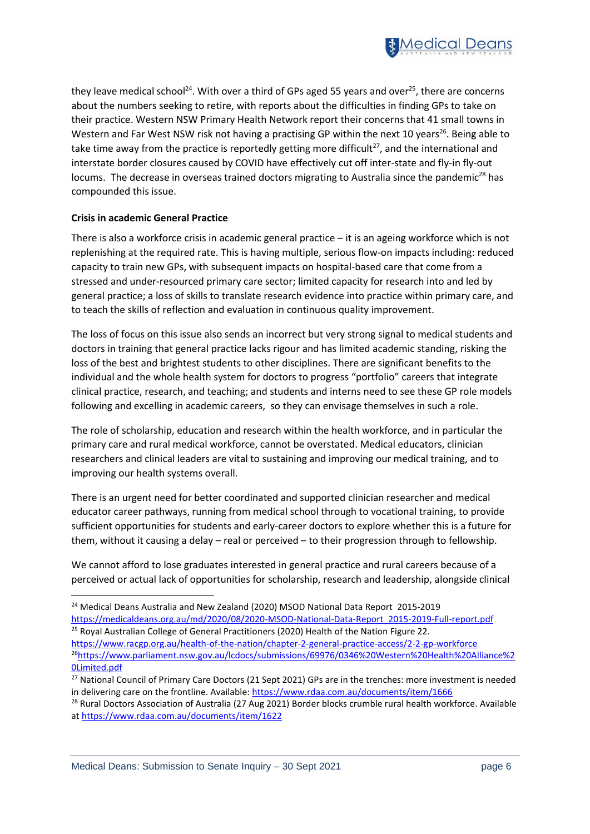

they leave medical school<sup>24</sup>. With over a third of GPs aged 55 years and over<sup>25</sup>, there are concerns about the numbers seeking to retire, with reports about the difficulties in finding GPs to take on their practice. Western NSW Primary Health Network report their concerns that 41 small towns in Western and Far West NSW risk not having a practising GP within the next 10 years<sup>26</sup>. Being able to take time away from the practice is reportedly getting more difficult<sup>27</sup>, and the international and interstate border closures caused by COVID have effectively cut off inter-state and fly-in fly-out locums. The decrease in overseas trained doctors migrating to Australia since the pandemic<sup>28</sup> has compounded this issue.

### **Crisis in academic General Practice**

There is also a workforce crisis in academic general practice – it is an ageing workforce which is not replenishing at the required rate. This is having multiple, serious flow-on impacts including: reduced capacity to train new GPs, with subsequent impacts on hospital-based care that come from a stressed and under-resourced primary care sector; limited capacity for research into and led by general practice; a loss of skills to translate research evidence into practice within primary care, and to teach the skills of reflection and evaluation in continuous quality improvement.

The loss of focus on this issue also sends an incorrect but very strong signal to medical students and doctors in training that general practice lacks rigour and has limited academic standing, risking the loss of the best and brightest students to other disciplines. There are significant benefits to the individual and the whole health system for doctors to progress "portfolio" careers that integrate clinical practice, research, and teaching; and students and interns need to see these GP role models following and excelling in academic careers, so they can envisage themselves in such a role.

The role of scholarship, education and research within the health workforce, and in particular the primary care and rural medical workforce, cannot be overstated. Medical educators, clinician researchers and clinical leaders are vital to sustaining and improving our medical training, and to improving our health systems overall.

There is an urgent need for better coordinated and supported clinician researcher and medical educator career pathways, running from medical school through to vocational training, to provide sufficient opportunities for students and early-career doctors to explore whether this is a future for them, without it causing a delay – real or perceived – to their progression through to fellowship.

We cannot afford to lose graduates interested in general practice and rural careers because of a perceived or actual lack of opportunities for scholarship, research and leadership, alongside clinical

<sup>&</sup>lt;sup>24</sup> Medical Deans Australia and New Zealand (2020) MSOD National Data Report 2015-2019 [https://medicaldeans.org.au/md/2020/08/2020-MSOD-National-Data-Report\\_2015-2019-Full-report.pdf](https://medicaldeans.org.au/md/2020/08/2020-MSOD-National-Data-Report_2015-2019-Full-report.pdf)

<sup>&</sup>lt;sup>25</sup> Royal Australian College of General Practitioners (2020) Health of the Nation Figure 22. <https://www.racgp.org.au/health-of-the-nation/chapter-2-general-practice-access/2-2-gp-workforce> <sup>26</sup>[https://www.parliament.nsw.gov.au/lcdocs/submissions/69976/0346%20Western%20Health%20Alliance%2](https://www.parliament.nsw.gov.au/lcdocs/submissions/69976/0346%20Western%20Health%20Alliance%20Limited.pdf) [0Limited.pdf](https://www.parliament.nsw.gov.au/lcdocs/submissions/69976/0346%20Western%20Health%20Alliance%20Limited.pdf)

<sup>&</sup>lt;sup>27</sup> National Council of Primary Care Doctors (21 Sept 2021) GPs are in the trenches: more investment is needed in delivering care on the frontline. Available[: https://www.rdaa.com.au/documents/item/1666](https://www.rdaa.com.au/documents/item/1666)

<sup>&</sup>lt;sup>28</sup> Rural Doctors Association of Australia (27 Aug 2021) Border blocks crumble rural health workforce. Available a[t https://www.rdaa.com.au/documents/item/1622](https://www.rdaa.com.au/documents/item/1622)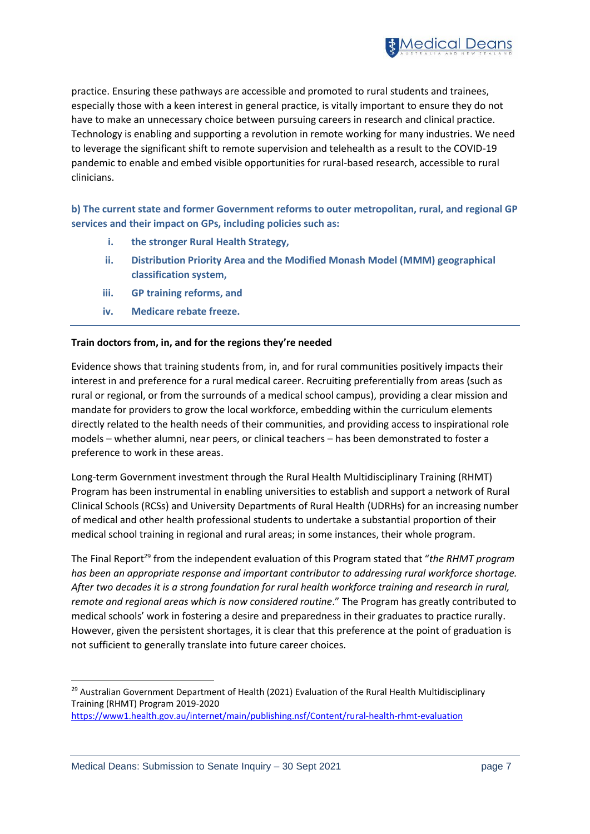

practice. Ensuring these pathways are accessible and promoted to rural students and trainees, especially those with a keen interest in general practice, is vitally important to ensure they do not have to make an unnecessary choice between pursuing careers in research and clinical practice. Technology is enabling and supporting a revolution in remote working for many industries. We need to leverage the significant shift to remote supervision and telehealth as a result to the COVID-19 pandemic to enable and embed visible opportunities for rural-based research, accessible to rural clinicians.

**b) The current state and former Government reforms to outer metropolitan, rural, and regional GP services and their impact on GPs, including policies such as:** 

- **i. the stronger Rural Health Strategy,**
- **ii. Distribution Priority Area and the Modified Monash Model (MMM) geographical classification system,**
- **iii. GP training reforms, and**
- **iv. Medicare rebate freeze.**

### **Train doctors from, in, and for the regions they're needed**

Evidence shows that training students from, in, and for rural communities positively impacts their interest in and preference for a rural medical career. Recruiting preferentially from areas (such as rural or regional, or from the surrounds of a medical school campus), providing a clear mission and mandate for providers to grow the local workforce, embedding within the curriculum elements directly related to the health needs of their communities, and providing access to inspirational role models – whether alumni, near peers, or clinical teachers – has been demonstrated to foster a preference to work in these areas.

Long-term Government investment through the Rural Health Multidisciplinary Training (RHMT) Program has been instrumental in enabling universities to establish and support a network of Rural Clinical Schools (RCSs) and University Departments of Rural Health (UDRHs) for an increasing number of medical and other health professional students to undertake a substantial proportion of their medical school training in regional and rural areas; in some instances, their whole program.

The Final Report<sup>29</sup> from the independent evaluation of this Program stated that "*the RHMT program has been an appropriate response and important contributor to addressing rural workforce shortage. After two decades it is a strong foundation for rural health workforce training and research in rural, remote and regional areas which is now considered routine*." The Program has greatly contributed to medical schools' work in fostering a desire and preparedness in their graduates to practice rurally. However, given the persistent shortages, it is clear that this preference at the point of graduation is not sufficient to generally translate into future career choices.

<sup>&</sup>lt;sup>29</sup> Australian Government Department of Health (2021) Evaluation of the Rural Health Multidisciplinary Training (RHMT) Program 2019-2020

<https://www1.health.gov.au/internet/main/publishing.nsf/Content/rural-health-rhmt-evaluation>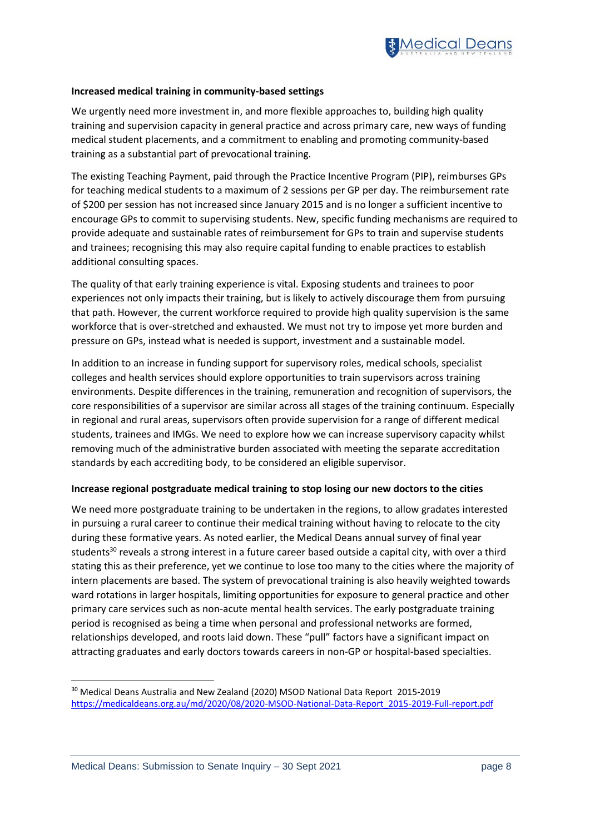

### **Increased medical training in community-based settings**

We urgently need more investment in, and more flexible approaches to, building high quality training and supervision capacity in general practice and across primary care, new ways of funding medical student placements, and a commitment to enabling and promoting community-based training as a substantial part of prevocational training.

The existing Teaching Payment, paid through the Practice Incentive Program (PIP), reimburses GPs for teaching medical students to a maximum of 2 sessions per GP per day. The reimbursement rate of \$200 per session has not increased since January 2015 and is no longer a sufficient incentive to encourage GPs to commit to supervising students. New, specific funding mechanisms are required to provide adequate and sustainable rates of reimbursement for GPs to train and supervise students and trainees; recognising this may also require capital funding to enable practices to establish additional consulting spaces.

The quality of that early training experience is vital. Exposing students and trainees to poor experiences not only impacts their training, but is likely to actively discourage them from pursuing that path. However, the current workforce required to provide high quality supervision is the same workforce that is over-stretched and exhausted. We must not try to impose yet more burden and pressure on GPs, instead what is needed is support, investment and a sustainable model.

In addition to an increase in funding support for supervisory roles, medical schools, specialist colleges and health services should explore opportunities to train supervisors across training environments. Despite differences in the training, remuneration and recognition of supervisors, the core responsibilities of a supervisor are similar across all stages of the training continuum. Especially in regional and rural areas, supervisors often provide supervision for a range of different medical students, trainees and IMGs. We need to explore how we can increase supervisory capacity whilst removing much of the administrative burden associated with meeting the separate accreditation standards by each accrediting body, to be considered an eligible supervisor.

### **Increase regional postgraduate medical training to stop losing our new doctors to the cities**

We need more postgraduate training to be undertaken in the regions, to allow gradates interested in pursuing a rural career to continue their medical training without having to relocate to the city during these formative years. As noted earlier, the Medical Deans annual survey of final year students<sup>30</sup> reveals a strong interest in a future career based outside a capital city, with over a third stating this as their preference, yet we continue to lose too many to the cities where the majority of intern placements are based. The system of prevocational training is also heavily weighted towards ward rotations in larger hospitals, limiting opportunities for exposure to general practice and other primary care services such as non-acute mental health services. The early postgraduate training period is recognised as being a time when personal and professional networks are formed, relationships developed, and roots laid down. These "pull" factors have a significant impact on attracting graduates and early doctors towards careers in non-GP or hospital-based specialties.

<sup>&</sup>lt;sup>30</sup> Medical Deans Australia and New Zealand (2020) MSOD National Data Report 2015-2019 [https://medicaldeans.org.au/md/2020/08/2020-MSOD-National-Data-Report\\_2015-2019-Full-report.pdf](https://medicaldeans.org.au/md/2020/08/2020-MSOD-National-Data-Report_2015-2019-Full-report.pdf)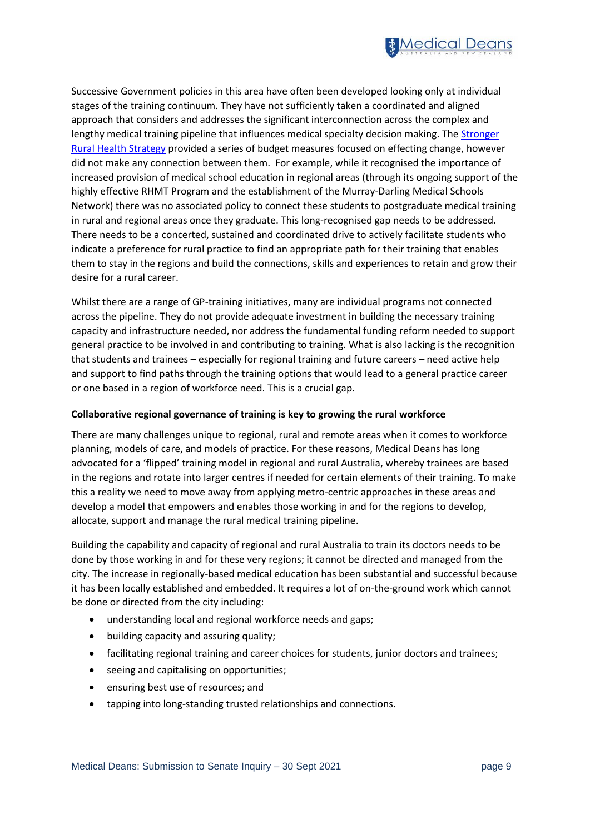

Successive Government policies in this area have often been developed looking only at individual stages of the training continuum. They have not sufficiently taken a coordinated and aligned approach that considers and addresses the significant interconnection across the complex and lengthy medical training pipeline that influences medical specialty decision making. The Stronger [Rural Health Strategy](https://www1.health.gov.au/internet/main/publishing.nsf/Content/stronger-rural-health-strategy-factsheets) provided a series of budget measures focused on effecting change, however did not make any connection between them. For example, while it recognised the importance of increased provision of medical school education in regional areas (through its ongoing support of the highly effective RHMT Program and the establishment of the Murray-Darling Medical Schools Network) there was no associated policy to connect these students to postgraduate medical training in rural and regional areas once they graduate. This long-recognised gap needs to be addressed. There needs to be a concerted, sustained and coordinated drive to actively facilitate students who indicate a preference for rural practice to find an appropriate path for their training that enables them to stay in the regions and build the connections, skills and experiences to retain and grow their desire for a rural career.

Whilst there are a range of GP-training initiatives, many are individual programs not connected across the pipeline. They do not provide adequate investment in building the necessary training capacity and infrastructure needed, nor address the fundamental funding reform needed to support general practice to be involved in and contributing to training. What is also lacking is the recognition that students and trainees – especially for regional training and future careers – need active help and support to find paths through the training options that would lead to a general practice career or one based in a region of workforce need. This is a crucial gap.

### **Collaborative regional governance of training is key to growing the rural workforce**

There are many challenges unique to regional, rural and remote areas when it comes to workforce planning, models of care, and models of practice. For these reasons, Medical Deans has long advocated for a 'flipped' training model in regional and rural Australia, whereby trainees are based in the regions and rotate into larger centres if needed for certain elements of their training. To make this a reality we need to move away from applying metro-centric approaches in these areas and develop a model that empowers and enables those working in and for the regions to develop, allocate, support and manage the rural medical training pipeline.

Building the capability and capacity of regional and rural Australia to train its doctors needs to be done by those working in and for these very regions; it cannot be directed and managed from the city. The increase in regionally-based medical education has been substantial and successful because it has been locally established and embedded. It requires a lot of on-the-ground work which cannot be done or directed from the city including:

- understanding local and regional workforce needs and gaps;
- building capacity and assuring quality;
- facilitating regional training and career choices for students, junior doctors and trainees;
- seeing and capitalising on opportunities;
- ensuring best use of resources; and
- tapping into long-standing trusted relationships and connections.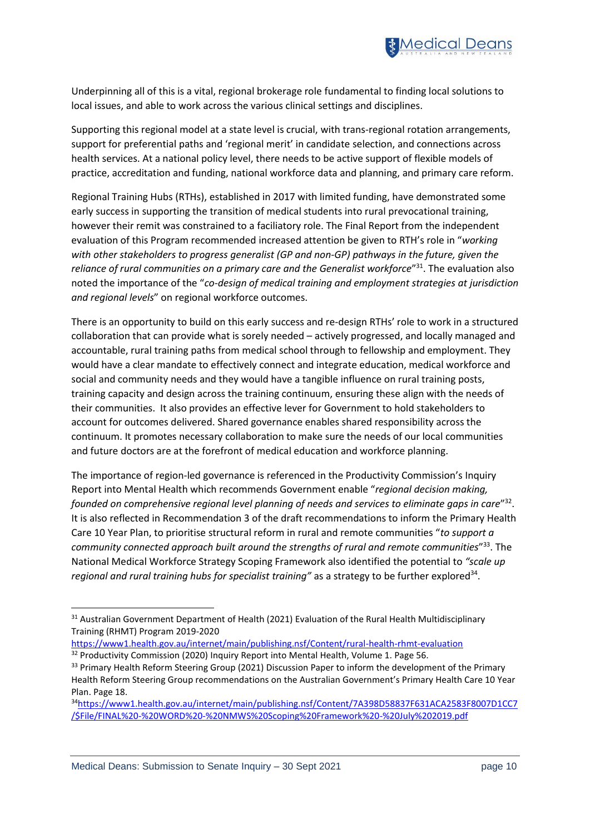

Underpinning all of this is a vital, regional brokerage role fundamental to finding local solutions to local issues, and able to work across the various clinical settings and disciplines.

Supporting this regional model at a state level is crucial, with trans-regional rotation arrangements, support for preferential paths and 'regional merit' in candidate selection, and connections across health services. At a national policy level, there needs to be active support of flexible models of practice, accreditation and funding, national workforce data and planning, and primary care reform.

Regional Training Hubs (RTHs), established in 2017 with limited funding, have demonstrated some early success in supporting the transition of medical students into rural prevocational training, however their remit was constrained to a faciliatory role. The Final Report from the independent evaluation of this Program recommended increased attention be given to RTH's role in "*working with other stakeholders to progress generalist (GP and non-GP) pathways in the future, given the*  reliance of rural communities on a primary care and the Generalist workforce<sup>"31</sup>. The evaluation also noted the importance of the "*co-design of medical training and employment strategies at jurisdiction and regional levels*" on regional workforce outcomes.

There is an opportunity to build on this early success and re-design RTHs' role to work in a structured collaboration that can provide what is sorely needed – actively progressed, and locally managed and accountable, rural training paths from medical school through to fellowship and employment. They would have a clear mandate to effectively connect and integrate education, medical workforce and social and community needs and they would have a tangible influence on rural training posts, training capacity and design across the training continuum, ensuring these align with the needs of their communities. It also provides an effective lever for Government to hold stakeholders to account for outcomes delivered. Shared governance enables shared responsibility across the continuum. It promotes necessary collaboration to make sure the needs of our local communities and future doctors are at the forefront of medical education and workforce planning.

The importance of region-led governance is referenced in the Productivity Commission's Inquiry Report into Mental Health which recommends Government enable "*regional decision making, founded on comprehensive regional level planning of needs and services to eliminate gaps in care*" 32 . It is also reflected in Recommendation 3 of the draft recommendations to inform the Primary Health Care 10 Year Plan, to prioritise structural reform in rural and remote communities "*to support a community connected approach built around the strengths of rural and remote communities*" <sup>33</sup>. The National Medical Workforce Strategy Scoping Framework also identified the potential to *"scale up* regional and rural training hubs for specialist training" as a strategy to be further explored<sup>34</sup>.

<sup>&</sup>lt;sup>31</sup> Australian Government Department of Health (2021) Evaluation of the Rural Health Multidisciplinary Training (RHMT) Program 2019-2020

<https://www1.health.gov.au/internet/main/publishing.nsf/Content/rural-health-rhmt-evaluation> <sup>32</sup> Productivity Commission (2020) Inquiry Report into Mental Health, Volume 1. Page 56.

<sup>&</sup>lt;sup>33</sup> Primary Health Reform Steering Group (2021) Discussion Paper to inform the development of the Primary Health Reform Steering Group recommendations on the Australian Government's Primary Health Care 10 Year Plan. Page 18.

<sup>34</sup>[https://www1.health.gov.au/internet/main/publishing.nsf/Content/7A398D58837F631ACA2583F8007D1CC7](https://www1.health.gov.au/internet/main/publishing.nsf/Content/7A398D58837F631ACA2583F8007D1CC7/$File/FINAL%20-%20WORD%20-%20NMWS%20Scoping%20Framework%20-%20July%202019.pdf) [/\\$File/FINAL%20-%20WORD%20-%20NMWS%20Scoping%20Framework%20-%20July%202019.pdf](https://www1.health.gov.au/internet/main/publishing.nsf/Content/7A398D58837F631ACA2583F8007D1CC7/$File/FINAL%20-%20WORD%20-%20NMWS%20Scoping%20Framework%20-%20July%202019.pdf)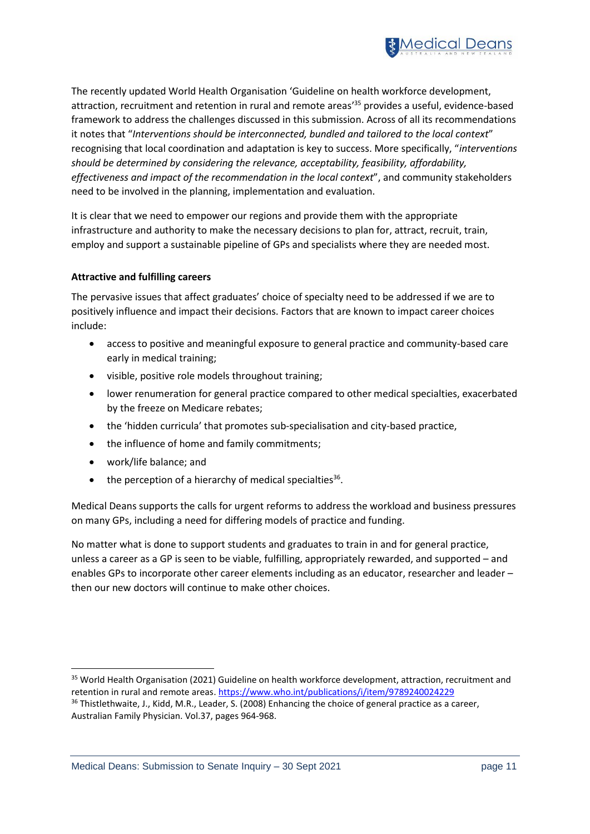

The recently updated World Health Organisation 'Guideline on health workforce development, attraction, recruitment and retention in rural and remote areas' <sup>35</sup> provides a useful, evidence-based framework to address the challenges discussed in this submission. Across of all its recommendations it notes that "*Interventions should be interconnected, bundled and tailored to the local context*" recognising that local coordination and adaptation is key to success. More specifically, "*interventions should be determined by considering the relevance, acceptability, feasibility, affordability, effectiveness and impact of the recommendation in the local context*", and community stakeholders need to be involved in the planning, implementation and evaluation.

It is clear that we need to empower our regions and provide them with the appropriate infrastructure and authority to make the necessary decisions to plan for, attract, recruit, train, employ and support a sustainable pipeline of GPs and specialists where they are needed most.

### **Attractive and fulfilling careers**

The pervasive issues that affect graduates' choice of specialty need to be addressed if we are to positively influence and impact their decisions. Factors that are known to impact career choices include:

- access to positive and meaningful exposure to general practice and community-based care early in medical training;
- visible, positive role models throughout training;
- lower renumeration for general practice compared to other medical specialties, exacerbated by the freeze on Medicare rebates;
- the 'hidden curricula' that promotes sub-specialisation and city-based practice,
- the influence of home and family commitments;
- work/life balance; and
- $\bullet$  the perception of a hierarchy of medical specialties<sup>36</sup>.

Medical Deans supports the calls for urgent reforms to address the workload and business pressures on many GPs, including a need for differing models of practice and funding.

No matter what is done to support students and graduates to train in and for general practice, unless a career as a GP is seen to be viable, fulfilling, appropriately rewarded, and supported – and enables GPs to incorporate other career elements including as an educator, researcher and leader – then our new doctors will continue to make other choices.

<sup>&</sup>lt;sup>35</sup> World Health Organisation (2021) Guideline on health workforce development, attraction, recruitment and retention in rural and remote areas. <https://www.who.int/publications/i/item/9789240024229>

<sup>&</sup>lt;sup>36</sup> Thistlethwaite, J., Kidd, M.R., Leader, S. (2008) Enhancing the choice of general practice as a career, Australian Family Physician. Vol.37, pages 964-968.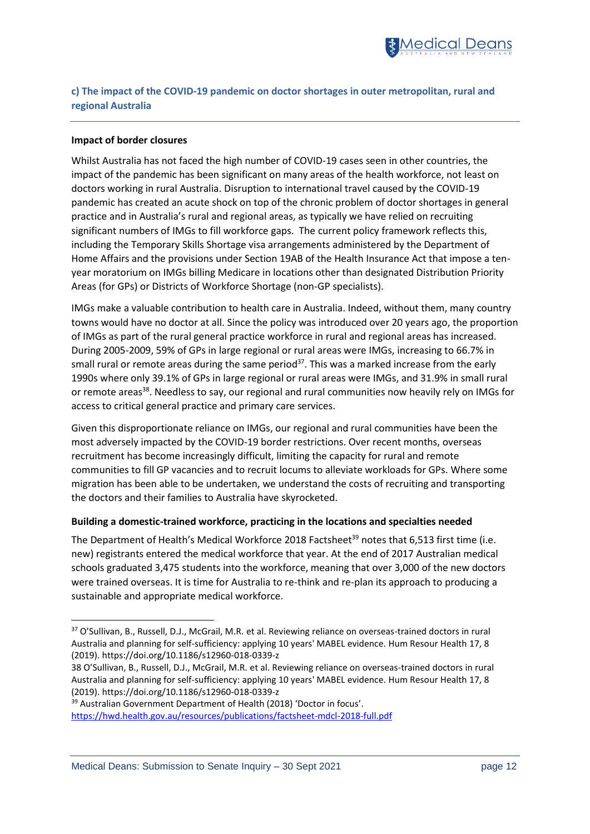

# **c) The impact of the COVID-19 pandemic on doctor shortages in outer metropolitan, rural and regional Australia**

### **Impact of border closures**

Whilst Australia has not faced the high number of COVID-19 cases seen in other countries, the impact of the pandemic has been significant on many areas of the health workforce, not least on doctors working in rural Australia. Disruption to international travel caused by the COVID-19 pandemic has created an acute shock on top of the chronic problem of doctor shortages in general practice and in Australia's rural and regional areas, as typically we have relied on recruiting significant numbers of IMGs to fill workforce gaps. The current policy framework reflects this, including the Temporary Skills Shortage visa arrangements administered by the Department of Home Affairs and the provisions under Section 19AB of the Health Insurance Act that impose a tenyear moratorium on IMGs billing Medicare in locations other than designated Distribution Priority Areas (for GPs) or Districts of Workforce Shortage (non-GP specialists).

IMGs make a valuable contribution to health care in Australia. Indeed, without them, many country towns would have no doctor at all. Since the policy was introduced over 20 years ago, the proportion of IMGs as part of the rural general practice workforce in rural and regional areas has increased. During 2005-2009, 59% of GPs in large regional or rural areas were IMGs, increasing to 66.7% in small rural or remote areas during the same period<sup>37</sup>. This was a marked increase from the early 1990s where only 39.1% of GPs in large regional or rural areas were IMGs, and 31.9% in small rural or remote areas<sup>38</sup>. Needless to say, our regional and rural communities now heavily rely on IMGs for access to critical general practice and primary care services.

Given this disproportionate reliance on IMGs, our regional and rural communities have been the most adversely impacted by the COVID-19 border restrictions. Over recent months, overseas recruitment has become increasingly difficult, limiting the capacity for rural and remote communities to fill GP vacancies and to recruit locums to alleviate workloads for GPs. Where some migration has been able to be undertaken, we understand the costs of recruiting and transporting the doctors and their families to Australia have skyrocketed.

#### **Building a domestic-trained workforce, practicing in the locations and specialties needed**

The Department of Health's Medical Workforce 2018 Factsheet<sup>39</sup> notes that 6,513 first time (i.e. new) registrants entered the medical workforce that year. At the end of 2017 Australian medical schools graduated 3,475 students into the workforce, meaning that over 3,000 of the new doctors were trained overseas. It is time for Australia to re-think and re-plan its approach to producing a sustainable and appropriate medical workforce.

<https://hwd.health.gov.au/resources/publications/factsheet-mdcl-2018-full.pdf>

<sup>37</sup> O'Sullivan, B., Russell, D.J., McGrail, M.R. et al. Reviewing reliance on overseas-trained doctors in rural Australia and planning for self-sufficiency: applying 10 years' MABEL evidence. Hum Resour Health 17, 8 (2019). https://doi.org/10.1186/s12960-018-0339-z

<sup>38</sup> O'Sullivan, B., Russell, D.J., McGrail, M.R. et al. Reviewing reliance on overseas-trained doctors in rural Australia and planning for self-sufficiency: applying 10 years' MABEL evidence. Hum Resour Health 17, 8 (2019). https://doi.org/10.1186/s12960-018-0339-z

<sup>&</sup>lt;sup>39</sup> Australian Government Department of Health (2018) 'Doctor in focus'.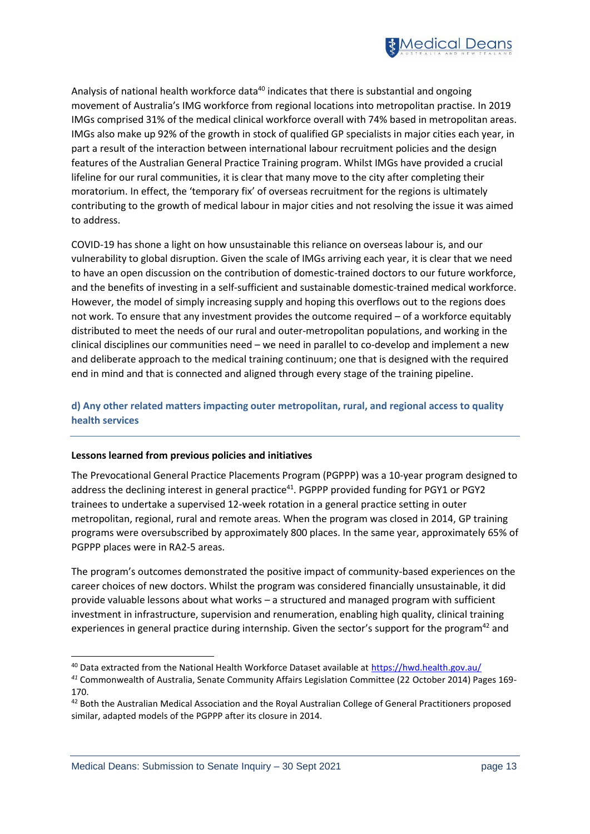

Analysis of national health workforce data<sup>40</sup> indicates that there is substantial and ongoing movement of Australia's IMG workforce from regional locations into metropolitan practise. In 2019 IMGs comprised 31% of the medical clinical workforce overall with 74% based in metropolitan areas. IMGs also make up 92% of the growth in stock of qualified GP specialists in major cities each year, in part a result of the interaction between international labour recruitment policies and the design features of the Australian General Practice Training program. Whilst IMGs have provided a crucial lifeline for our rural communities, it is clear that many move to the city after completing their moratorium. In effect, the 'temporary fix' of overseas recruitment for the regions is ultimately contributing to the growth of medical labour in major cities and not resolving the issue it was aimed to address.

COVID-19 has shone a light on how unsustainable this reliance on overseas labour is, and our vulnerability to global disruption. Given the scale of IMGs arriving each year, it is clear that we need to have an open discussion on the contribution of domestic-trained doctors to our future workforce, and the benefits of investing in a self-sufficient and sustainable domestic-trained medical workforce. However, the model of simply increasing supply and hoping this overflows out to the regions does not work. To ensure that any investment provides the outcome required – of a workforce equitably distributed to meet the needs of our rural and outer-metropolitan populations, and working in the clinical disciplines our communities need – we need in parallel to co-develop and implement a new and deliberate approach to the medical training continuum; one that is designed with the required end in mind and that is connected and aligned through every stage of the training pipeline.

# **d) Any other related matters impacting outer metropolitan, rural, and regional access to quality health services**

### **Lessons learned from previous policies and initiatives**

The Prevocational General Practice Placements Program (PGPPP) was a 10-year program designed to address the declining interest in general practice<sup>41</sup>. PGPPP provided funding for PGY1 or PGY2 trainees to undertake a supervised 12-week rotation in a general practice setting in outer metropolitan, regional, rural and remote areas. When the program was closed in 2014, GP training programs were oversubscribed by approximately 800 places. In the same year, approximately 65% of PGPPP places were in RA2-5 areas.

The program's outcomes demonstrated the positive impact of community-based experiences on the career choices of new doctors. Whilst the program was considered financially unsustainable, it did provide valuable lessons about what works – a structured and managed program with sufficient investment in infrastructure, supervision and renumeration, enabling high quality, clinical training experiences in general practice during internship. Given the sector's support for the program<sup>42</sup> and

<sup>40</sup> Data extracted from the National Health Workforce Dataset available a[t https://hwd.health.gov.au/](https://hwd.health.gov.au/)

*<sup>41</sup>* Commonwealth of Australia, Senate Community Affairs Legislation Committee (22 October 2014) Pages 169- 170.

<sup>&</sup>lt;sup>42</sup> Both the Australian Medical Association and the Royal Australian College of General Practitioners proposed similar, adapted models of the PGPPP after its closure in 2014.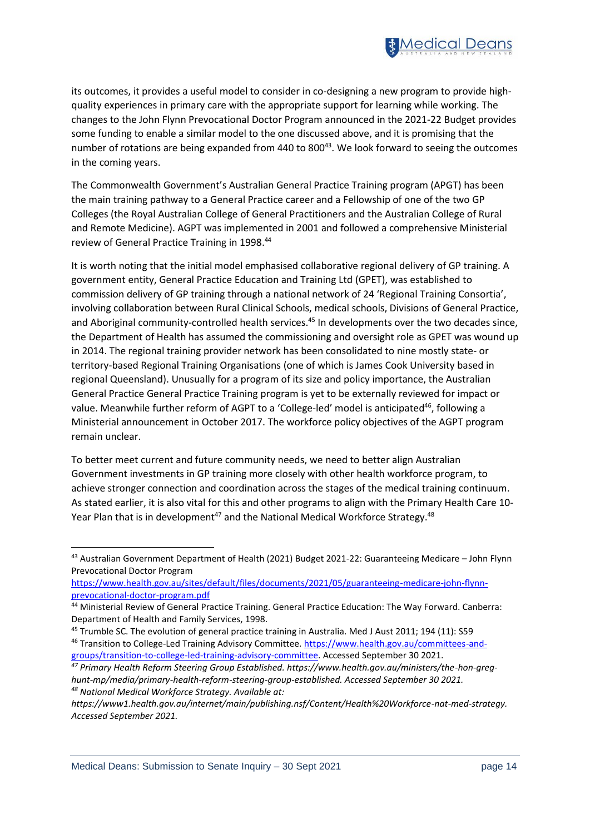

its outcomes, it provides a useful model to consider in co-designing a new program to provide highquality experiences in primary care with the appropriate support for learning while working. The changes to the John Flynn Prevocational Doctor Program announced in the 2021-22 Budget provides some funding to enable a similar model to the one discussed above, and it is promising that the number of rotations are being expanded from 440 to 800<sup>43</sup>. We look forward to seeing the outcomes in the coming years.

The Commonwealth Government's Australian General Practice Training program (APGT) has been the main training pathway to a General Practice career and a Fellowship of one of the two GP Colleges (the Royal Australian College of General Practitioners and the Australian College of Rural and Remote Medicine). AGPT was implemented in 2001 and followed a comprehensive Ministerial review of General Practice Training in 1998. 44

It is worth noting that the initial model emphasised collaborative regional delivery of GP training. A government entity, General Practice Education and Training Ltd (GPET), was established to commission delivery of GP training through a national network of 24 'Regional Training Consortia', involving collaboration between Rural Clinical Schools, medical schools, Divisions of General Practice, and Aboriginal community-controlled health services.<sup>45</sup> In developments over the two decades since, the Department of Health has assumed the commissioning and oversight role as GPET was wound up in 2014. The regional training provider network has been consolidated to nine mostly state- or territory-based Regional Training Organisations (one of which is James Cook University based in regional Queensland). Unusually for a program of its size and policy importance, the Australian General Practice General Practice Training program is yet to be externally reviewed for impact or value. Meanwhile further reform of AGPT to a 'College-led' model is anticipated<sup>46</sup>, following a Ministerial announcement in October 2017. The workforce policy objectives of the AGPT program remain unclear.

To better meet current and future community needs, we need to better align Australian Government investments in GP training more closely with other health workforce program, to achieve stronger connection and coordination across the stages of the medical training continuum. As stated earlier, it is also vital for this and other programs to align with the Primary Health Care 10- Year Plan that is in development<sup>47</sup> and the National Medical Workforce Strategy.<sup>48</sup>

<sup>43</sup> Australian Government Department of Health (2021) Budget 2021-22: Guaranteeing Medicare – John Flynn Prevocational Doctor Program

[https://www.health.gov.au/sites/default/files/documents/2021/05/guaranteeing-medicare-john-flynn](https://www.health.gov.au/sites/default/files/documents/2021/05/guaranteeing-medicare-john-flynn-prevocational-doctor-program.pdf)[prevocational-doctor-program.pdf](https://www.health.gov.au/sites/default/files/documents/2021/05/guaranteeing-medicare-john-flynn-prevocational-doctor-program.pdf)

<sup>44</sup> Ministerial Review of General Practice Training. General Practice Education: The Way Forward. Canberra: Department of Health and Family Services, 1998.

<sup>&</sup>lt;sup>45</sup> Trumble SC. The evolution of general practice training in Australia. Med J Aust 2011; 194 (11): S59 <sup>46</sup> Transition to College-Led Training Advisory Committee. [https://www.health.gov.au/committees-and](https://www.health.gov.au/committees-and-groups/transition-to-college-led-training-advisory-committee)[groups/transition-to-college-led-training-advisory-committee.](https://www.health.gov.au/committees-and-groups/transition-to-college-led-training-advisory-committee) Accessed September 30 2021.

*<sup>47</sup> Primary Health Reform Steering Group Established. https://www.health.gov.au/ministers/the-hon-greghunt-mp/media/primary-health-reform-steering-group-established. Accessed September 30 2021. <sup>48</sup> National Medical Workforce Strategy. Available at:* 

*https://www1.health.gov.au/internet/main/publishing.nsf/Content/Health%20Workforce-nat-med-strategy. Accessed September 2021.*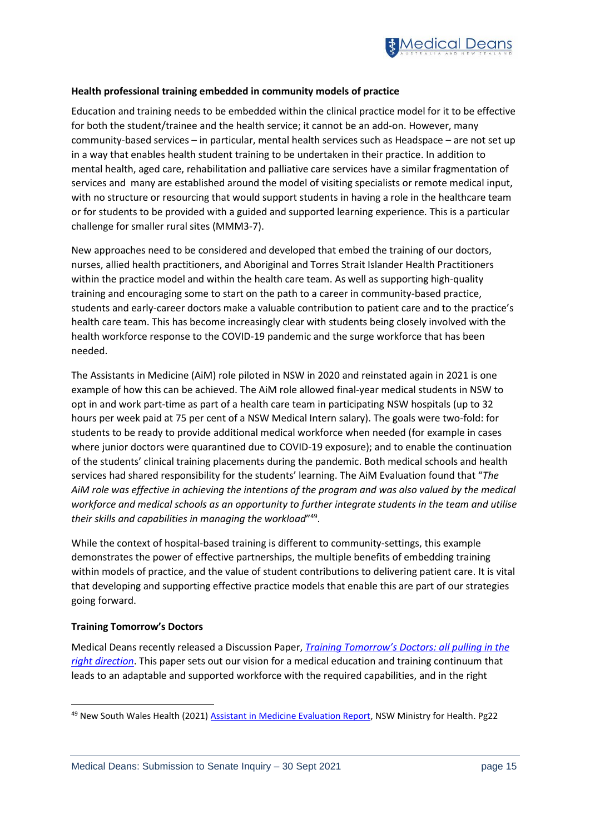

### **Health professional training embedded in community models of practice**

Education and training needs to be embedded within the clinical practice model for it to be effective for both the student/trainee and the health service; it cannot be an add-on. However, many community-based services – in particular, mental health services such as Headspace – are not set up in a way that enables health student training to be undertaken in their practice. In addition to mental health, aged care, rehabilitation and palliative care services have a similar fragmentation of services and many are established around the model of visiting specialists or remote medical input, with no structure or resourcing that would support students in having a role in the healthcare team or for students to be provided with a guided and supported learning experience. This is a particular challenge for smaller rural sites (MMM3-7).

New approaches need to be considered and developed that embed the training of our doctors, nurses, allied health practitioners, and Aboriginal and Torres Strait Islander Health Practitioners within the practice model and within the health care team. As well as supporting high-quality training and encouraging some to start on the path to a career in community-based practice, students and early-career doctors make a valuable contribution to patient care and to the practice's health care team. This has become increasingly clear with students being closely involved with the health workforce response to the COVID-19 pandemic and the surge workforce that has been needed.

The Assistants in Medicine (AiM) role piloted in NSW in 2020 and reinstated again in 2021 is one example of how this can be achieved. The AiM role allowed final-year medical students in NSW to opt in and work part-time as part of a health care team in participating NSW hospitals (up to 32 hours per week paid at 75 per cent of a NSW Medical Intern salary). The goals were two-fold: for students to be ready to provide additional medical workforce when needed (for example in cases where junior doctors were quarantined due to COVID-19 exposure); and to enable the continuation of the students' clinical training placements during the pandemic. Both medical schools and health services had shared responsibility for the students' learning. The AiM Evaluation found that "*The AiM role was effective in achieving the intentions of the program and was also valued by the medical workforce and medical schools as an opportunity to further integrate students in the team and utilise their skills and capabilities in managing the workload*" 49 .

While the context of hospital-based training is different to community-settings, this example demonstrates the power of effective partnerships, the multiple benefits of embedding training within models of practice, and the value of student contributions to delivering patient care. It is vital that developing and supporting effective practice models that enable this are part of our strategies going forward.

### **Training Tomorrow's Doctors**

Medical Deans recently released a Discussion Paper, *[Training Tomorrow's Doctors: all pulling in the](https://medicaldeans.org.au/resource/training-tomorrows-doctors-all-pulling-in-the-right-direction/)  [right direction](https://medicaldeans.org.au/resource/training-tomorrows-doctors-all-pulling-in-the-right-direction/)*. This paper sets out our vision for a medical education and training continuum that leads to an adaptable and supported workforce with the required capabilities, and in the right

<sup>49</sup> New South Wales Health (2021[\) Assistant in Medicine Evaluation Report,](https://www.health.nsw.gov.au/workforce/medical/Pages/aim-evaluation-report.aspx) NSW Ministry for Health. Pg22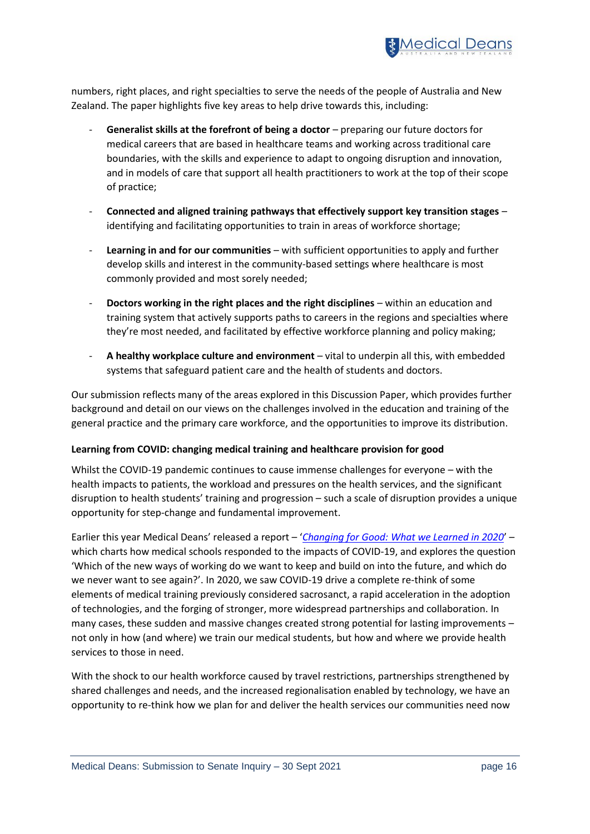

numbers, right places, and right specialties to serve the needs of the people of Australia and New Zealand. The paper highlights five key areas to help drive towards this, including:

- **Generalist skills at the forefront of being a doctor** preparing our future doctors for medical careers that are based in healthcare teams and working across traditional care boundaries, with the skills and experience to adapt to ongoing disruption and innovation, and in models of care that support all health practitioners to work at the top of their scope of practice;
- **Connected and aligned training pathways that effectively support key transition stages** identifying and facilitating opportunities to train in areas of workforce shortage;
- **Learning in and for our communities** with sufficient opportunities to apply and further develop skills and interest in the community-based settings where healthcare is most commonly provided and most sorely needed;
- **Doctors working in the right places and the right disciplines** within an education and training system that actively supports paths to careers in the regions and specialties where they're most needed, and facilitated by effective workforce planning and policy making;
- **A healthy workplace culture and environment** vital to underpin all this, with embedded systems that safeguard patient care and the health of students and doctors.

Our submission reflects many of the areas explored in this Discussion Paper, which provides further background and detail on our views on the challenges involved in the education and training of the general practice and the primary care workforce, and the opportunities to improve its distribution.

### **Learning from COVID: changing medical training and healthcare provision for good**

Whilst the COVID-19 pandemic continues to cause immense challenges for everyone – with the health impacts to patients, the workload and pressures on the health services, and the significant disruption to health students' training and progression – such a scale of disruption provides a unique opportunity for step-change and fundamental improvement.

Earlier this year Medical Deans' released a report – '*[Changing for Good: What we Learned in 2020](https://medicaldeans.org.au/md/2021/08/Changing-for-Good-What-We-Learned-in-2020-MDANZ-Report-July-2021-1.pdf)*' – which charts how medical schools responded to the impacts of COVID-19, and explores the question 'Which of the new ways of working do we want to keep and build on into the future, and which do we never want to see again?'. In 2020, we saw COVID-19 drive a complete re-think of some elements of medical training previously considered sacrosanct, a rapid acceleration in the adoption of technologies, and the forging of stronger, more widespread partnerships and collaboration. In many cases, these sudden and massive changes created strong potential for lasting improvements – not only in how (and where) we train our medical students, but how and where we provide health services to those in need.

With the shock to our health workforce caused by travel restrictions, partnerships strengthened by shared challenges and needs, and the increased regionalisation enabled by technology, we have an opportunity to re-think how we plan for and deliver the health services our communities need now